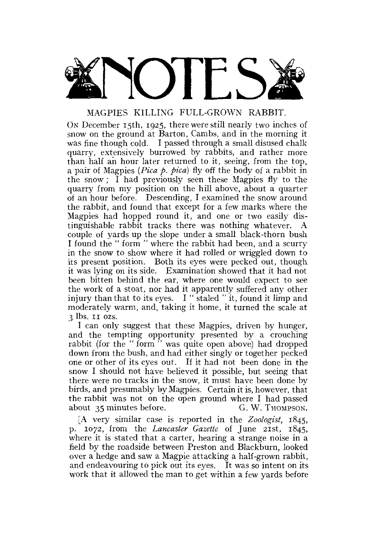

# MAGPIES KILLING FULL-GROWN RABBIT.

ON December 15th, 1925, there were still nearly two inches of snow on the ground at Barton, Cambs, and in the morning it was fine though cold. I passed through a small disused chalk quarry, extensively burrowed by rabbits, and rather more than half an hour later returned to it, seeing, from the top, a pair of Magpies *(Pica p. pica)* fly off the body of a rabbit in the snow; I had previously seen these Magpies fly to the quarry from my position on the hill above, about a quarter of an hour before. Descending, I examined the snow around the rabbit, and found that except for a few marks where the Magpies had hopped round it, and one or two easily distinguishable rabbit tracks there was nothing whatever. A couple of yards up the slope under a small black-thorn bush I found the " form " where the rabbit had been, and a scurry in the snow to show where it had rolled or wriggled down to its present position. Both its eyes were pecked out, though it was lying on its side. Examination showed that it had not been bitten behind the ear, where one would expect to see the work of a stoat, nor had it apparently suffered any other injury than that to its eyes. I " staled " it, found it limp and moderately warm, and, taking it home, it turned the scale at 3 lbs. 11 ozs.

I can only suggest that these Magpies, driven by hunger, and the tempting opportunity presented by a crouching rabbit (for the "form" was quite open above) had dropped down from the bush, and had either singly or together pecked one or other of its eyes out. If it had not been done in the snow I should not have believed it possible, but seeing that there were no tracks in the snow, it must have been done by birds, and presumably by Magpies. Certain it is, however, that the rabbit was not on the open ground where I had passed about 35 minutes before. G. W. Thompson.

[A very similar case is reported in the *Zoologist,* 1845, p. 1072, from the *Lancaster Gazette* of June 21st, 1845, where it is stated that a carter, hearing a strange noise in a field by the roadside between Preston and Blackburn, looked over a hedge and saw a Magpie attacking a half-grown rabbit, and endeavouring to pick out its eyes. It was so intent on its work that it allowed the man to get within a few yards before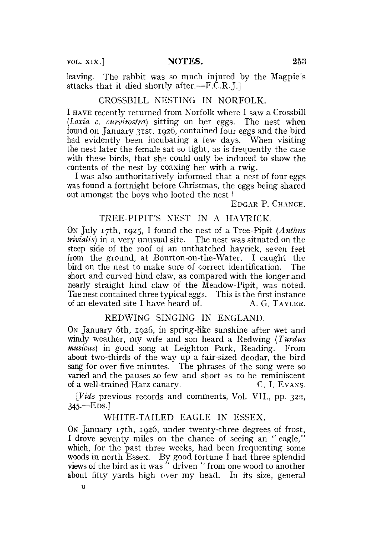leaving. The rabbit was so much injured by the Magpie's attacks that it died shortly after.—F.C.R.J.]

## CROSSBILL NESTING IN NORFOLK.

I HAVE recently returned from Norfolk where I saw a Crossbill *(Loxia c. curvirostra)* sitting on her eggs. The nest when found on January 31st, 1926, contained four eggs and the bird had evidently been incubating a few days. When visiting the nest later the female sat so tight, as is frequently the case with these birds, that she could only be induced to show the contents of the nest by coaxing her with a twig.

I was also authoritatively informed that a nest of four eggs was found a fortnight before Christmas, the eggs being shared out amongst the boys who looted the nest !

EDGAR P. CHANCE.

## TREE-PIPIT'S NEST IN A HAYRICK.

ON July 17th, 1925, I found the nest of a Tree-Pipit *(Anthus trivialis)* in a very unusual site. The nest was situated on the steep side of the roof of an unthatched hayrick, seven feet from the ground, at Bourton-on-the-Water. I caught the bird on the nest to make sure of correct identification. The short and curved hind claw, as compared with the longer and nearly straight hind claw of the Meadow-Pipit, was noted. The nest contained three typical eggs. This is the first instance of an elevated site I have heard of.  $A, G, TAYLER$ .

## REDWING SINGING IN ENGLAND.

ON January 6th, 1926, in spring-like sunshine after wet and windy weather, my wife and son heard a Redwing *(Turdus musicus)* in good song at Leighton Park, Reading. From about two-thirds of the way up a fair-sized deodar, the bird sang for over five minutes. The phrases of the song were so varied and the pauses so few and short as to be reminiscent of a well-trained Harz canary. C.I. EVANS.

*[Vide* previous records and comments, Vol. VII., pp. 322, 345.—EDS.]

## WHITE-TAILED EAGLE IN ESSEX.

ON January 17th, 1926, under twenty-three degrees of frost, I drove seventy miles on the chance of seeing an " eagle," which, for the past three weeks, had been frequenting some woods in north Essex. By good fortune I had three splendid views of the bird as it was " driven " from one wood to another about fifty yards high over my head. In its size, general

u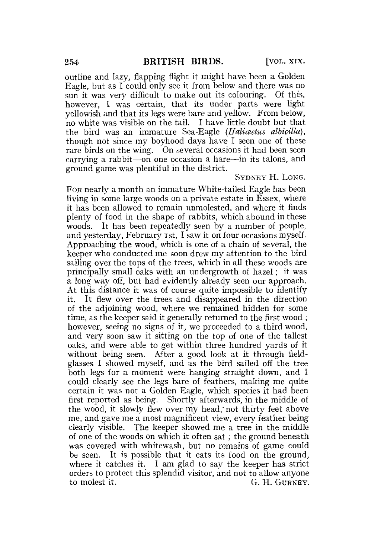outline and lazy, flapping flight it might have been a Golden Eagle, but as I could only see it from below and there was no sun it was very difficult to make out its colouring. Of this, however, I was certain, that its under parts were light yellowish and that its legs were bare and yellow. From below, no white was visible on the tail. I have little doubt but that the bird was an immature Sea-Eagle *(Haticeetus albicilla),*  though not since my boyhood days have I seen one of these rare birds on the wing. On several occasions it had been seen carrying a rabbit—on one occasion a hare—in its talons, and ground game was plentiful in the district.

### SYDNEY H. LONG.

FOR nearly a month an immature White-tailed Eagle has been living in some large woods on a private estate in Essex, where it has been allowed to remain unmolested, and where it finds plenty of food in the shape of rabbits, which abound in these woods. It has been repeatedly seen by a number of people, and yesterday, February ist, I saw it on four occasions myself. Approaching the wood, which is one of a chain of several, the keeper who conducted me soon drew my attention to the bird sailing over the tops of the trees, which in all these woods are principally small oaks with an undergrowth of hazel; it was a long way off, but had evidently already seen our approach. At this distance it was of course quite impossible to identify it. It flew over the trees and disappeared in the direction of the adjoining wood, where we remained hidden for some time, as the keeper said it generally returned to the first wood ; however, seeing no signs of it, we proceeded to a third wood, and very soon saw it sitting on the top of one of the tallest oaks, and were able to get within three hundred yards of it without being seen. After a good look at it through fieldglasses I showed myself, and as the bird sailed off the tree both legs for a moment were hanging straight down, and I could clearly see the legs bare of feathers, making me quite certain it was not a Golden Eagle, which species it had been first reported as being. Shortly afterwards, in the middle of the wood, it slowly flew over my head, not thirty feet above the wood, it slowly hew over my head, not thirty leet above me, and gave me a most magmment view, every reather being clearly visible. The keeper showed me a tree in the middle of one of the woods on which it often sat; the ground beneath was covered with whitewash, but no remains of game could was covered with whilewash, but no remains of game could be seen. It is possible that it eats its food on the ground, where it catches it. I am glad to say the keeper has strict orders to protect this splendid visitor, and not to allow anyone<br>to molest it.  $G$ . H. GURNEY.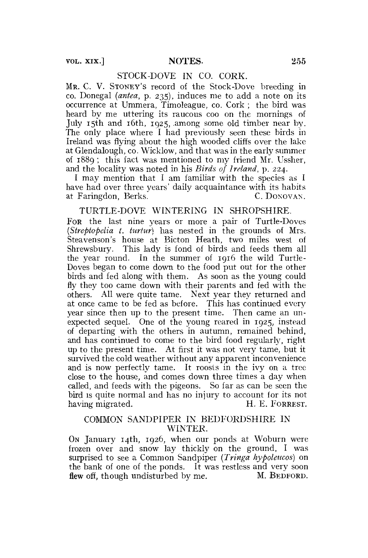vol. xix.] NOTES. 255

## STOCK-DOVE IN CO. CORK.

MR. C. V. STONEY'S record of the Stock-Dove breeding in co. Donegal *(antea,* p. 235), induces me to add a note on its occurrence at Ummera, Timoleague, co. Cork ; the bird was heard by me uttering its raucous coo on the mornings of July 15th and 16th, 1925, .among some old timber near by. The only place where I had previously seen these birds in Ireland was flying about the high wooded cliffs over the lake at Glendalough, co. Wick low, and that was in the early summer of 1889 ; this fact was mentioned to my friend Mr. Ussher, and the locality was noted in his *Birds of Ireland,* p. 224.

I may mention that I am familiar with the species as I have had over three years' daily acquaintance with its habits<br>at Faringdon Berks. C. DONOVAN. at Faringdon, Berks.

TURTLE-DOVE WINTERING IN SHROPSHIRE. FOR the last nine years or more a pair of Turtle-Doves *(Streptopelia t. turtur)* has nested in the grounds of Mrs. Steavenson's house at Bicton Heath, two miles west of Shrewsbury. This lady is fond of birds and feeds them all the year round. In the summer of 1916 the wild Turtle-Doves began to come down to the food put out for the other birds and fed along with them. As soon as the young could fly they too came down with their parents and fed with the others. All were quite tame. Next year they returned and at once came to be fed as before. This has continued every year since then up to the present time. Then came an unexpected sequel. One of the young reared in 1925, instead of departing with the others in autumn, remained behind, and has continued to come to the bird food regularly, right up to the present time. At first it was not very tame, but it survived the cold weather without any apparent inconvenience and is now perfectly tame. It roosts in the ivy on a tree close to the house, and comes down three times a day when called, and feeds with the pigeons. So far as can be seen the bird is quite normal and has no injury to account for its not having migrated. H. E. FORREST. having migrated.

### COMMON SANDPIPER IN BEDFORDSHIRE IN WINTER.

ON January 14th, 1926, when our ponds at Woburn were frozen over and snow lay thickly on the ground, I was surprised to see a Common Sandpiper *(Tringa hypolencos)* on the bank of one of the ponds. It was restless and very soon flew off, though undisturbed by me. M. BEDFORD.